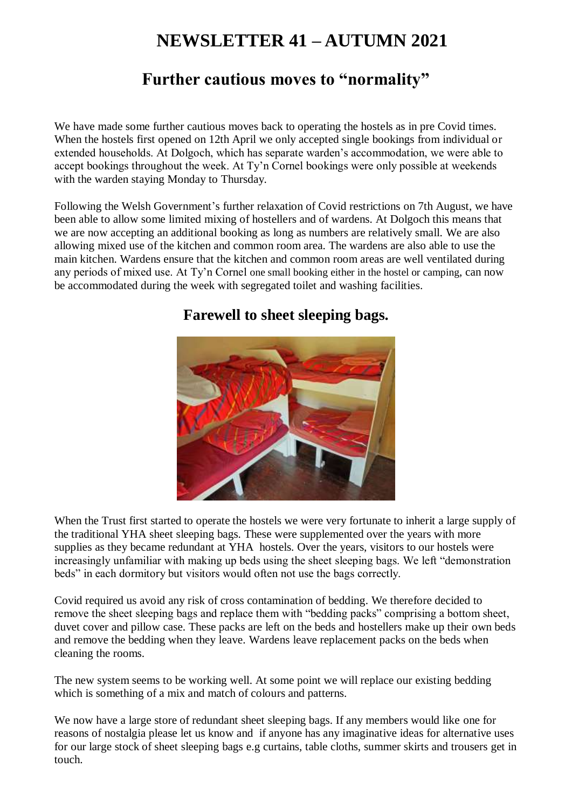# **NEWSLETTER 41 – AUTUMN 2021**

# **Further cautious moves to "normality"**

We have made some further cautious moves back to operating the hostels as in pre Covid times. When the hostels first opened on 12th April we only accepted single bookings from individual or extended households. At Dolgoch, which has separate warden's accommodation, we were able to accept bookings throughout the week. At Ty'n Cornel bookings were only possible at weekends with the warden staying Monday to Thursday.

Following the Welsh Government's further relaxation of Covid restrictions on 7th August, we have been able to allow some limited mixing of hostellers and of wardens. At Dolgoch this means that we are now accepting an additional booking as long as numbers are relatively small. We are also allowing mixed use of the kitchen and common room area. The wardens are also able to use the main kitchen. Wardens ensure that the kitchen and common room areas are well ventilated during any periods of mixed use. At Ty'n Cornel one small booking either in the hostel or camping, can now be accommodated during the week with segregated toilet and washing facilities.



### **Farewell to sheet sleeping bags.**

When the Trust first started to operate the hostels we were very fortunate to inherit a large supply of the traditional YHA sheet sleeping bags. These were supplemented over the years with more supplies as they became redundant at YHA hostels. Over the years, visitors to our hostels were increasingly unfamiliar with making up beds using the sheet sleeping bags. We left "demonstration beds" in each dormitory but visitors would often not use the bags correctly.

Covid required us avoid any risk of cross contamination of bedding. We therefore decided to remove the sheet sleeping bags and replace them with "bedding packs" comprising a bottom sheet, duvet cover and pillow case. These packs are left on the beds and hostellers make up their own beds and remove the bedding when they leave. Wardens leave replacement packs on the beds when cleaning the rooms.

The new system seems to be working well. At some point we will replace our existing bedding which is something of a mix and match of colours and patterns.

We now have a large store of redundant sheet sleeping bags. If any members would like one for reasons of nostalgia please let us know and if anyone has any imaginative ideas for alternative uses for our large stock of sheet sleeping bags e.g curtains, table cloths, summer skirts and trousers get in touch.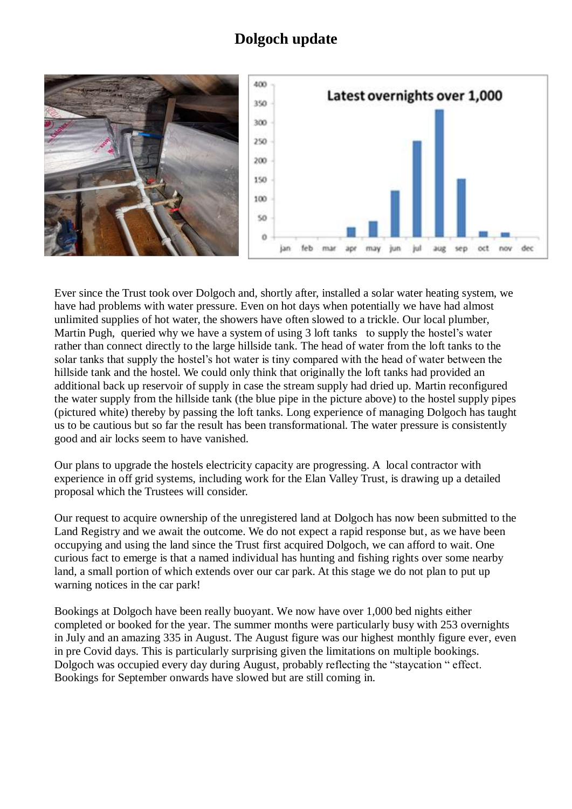# **Dolgoch update**



Ever since the Trust took over Dolgoch and, shortly after, installed a solar water heating system, we have had problems with water pressure. Even on hot days when potentially we have had almost unlimited supplies of hot water, the showers have often slowed to a trickle. Our local plumber, Martin Pugh, queried why we have a system of using 3 loft tanks to supply the hostel's water rather than connect directly to the large hillside tank. The head of water from the loft tanks to the solar tanks that supply the hostel's hot water is tiny compared with the head of water between the hillside tank and the hostel. We could only think that originally the loft tanks had provided an additional back up reservoir of supply in case the stream supply had dried up. Martin reconfigured the water supply from the hillside tank (the blue pipe in the picture above) to the hostel supply pipes (pictured white) thereby by passing the loft tanks. Long experience of managing Dolgoch has taught us to be cautious but so far the result has been transformational. The water pressure is consistently good and air locks seem to have vanished.

Our plans to upgrade the hostels electricity capacity are progressing. A local contractor with experience in off grid systems, including work for the Elan Valley Trust, is drawing up a detailed proposal which the Trustees will consider.

Our request to acquire ownership of the unregistered land at Dolgoch has now been submitted to the Land Registry and we await the outcome. We do not expect a rapid response but, as we have been occupying and using the land since the Trust first acquired Dolgoch, we can afford to wait. One curious fact to emerge is that a named individual has hunting and fishing rights over some nearby land, a small portion of which extends over our car park. At this stage we do not plan to put up warning notices in the car park!

Bookings at Dolgoch have been really buoyant. We now have over 1,000 bed nights either completed or booked for the year. The summer months were particularly busy with 253 overnights in July and an amazing 335 in August. The August figure was our highest monthly figure ever, even in pre Covid days. This is particularly surprising given the limitations on multiple bookings. Dolgoch was occupied every day during August, probably reflecting the "staycation " effect. Bookings for September onwards have slowed but are still coming in.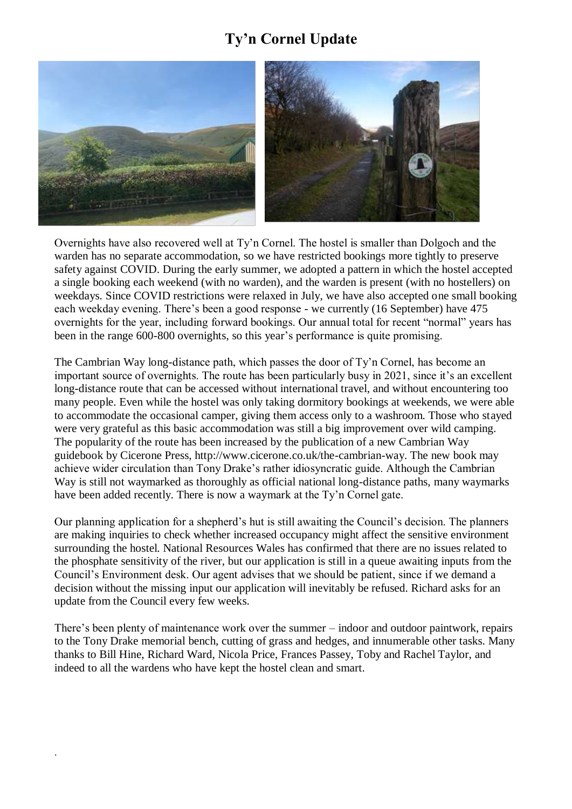# **Ty'n Cornel Update**



Overnights have also recovered well at Ty'n Cornel. The hostel is smaller than Dolgoch and the warden has no separate accommodation, so we have restricted bookings more tightly to preserve safety against COVID. During the early summer, we adopted a pattern in which the hostel accepted a single booking each weekend (with no warden), and the warden is present (with no hostellers) on weekdays. Since COVID restrictions were relaxed in July, we have also accepted one small booking each weekday evening. There's been a good response - we currently (16 September) have 475 overnights for the year, including forward bookings. Our annual total for recent "normal" years has been in the range 600-800 overnights, so this year's performance is quite promising.

The Cambrian Way long-distance path, which passes the door of Ty'n Cornel, has become an important source of overnights. The route has been particularly busy in 2021, since it's an excellent long-distance route that can be accessed without international travel, and without encountering too many people. Even while the hostel was only taking dormitory bookings at weekends, we were able to accommodate the occasional camper, giving them access only to a washroom. Those who stayed were very grateful as this basic accommodation was still a big improvement over wild camping. The popularity of the route has been increased by the publication of a new Cambrian Way guidebook by Cicerone Press, http://www.cicerone.co.uk/the-cambrian-way. The new book may achieve wider circulation than Tony Drake's rather idiosyncratic guide. Although the Cambrian Way is still not waymarked as thoroughly as official national long-distance paths, many waymarks have been added recently. There is now a waymark at the Ty'n Cornel gate.

Our planning application for a shepherd's hut is still awaiting the Council's decision. The planners are making inquiries to check whether increased occupancy might affect the sensitive environment surrounding the hostel. National Resources Wales has confirmed that there are no issues related to the phosphate sensitivity of the river, but our application is still in a queue awaiting inputs from the Council's Environment desk. Our agent advises that we should be patient, since if we demand a decision without the missing input our application will inevitably be refused. Richard asks for an update from the Council every few weeks.

There's been plenty of maintenance work over the summer – indoor and outdoor paintwork, repairs to the Tony Drake memorial bench, cutting of grass and hedges, and innumerable other tasks. Many thanks to Bill Hine, Richard Ward, Nicola Price, Frances Passey, Toby and Rachel Taylor, and indeed to all the wardens who have kept the hostel clean and smart.

.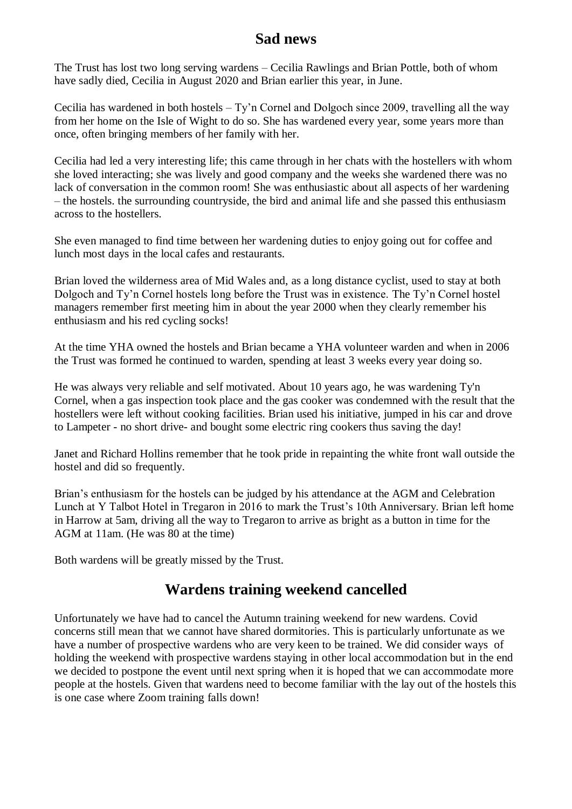# **Sad news**

The Trust has lost two long serving wardens – Cecilia Rawlings and Brian Pottle, both of whom have sadly died, Cecilia in August 2020 and Brian earlier this year, in June.

Cecilia has wardened in both hostels – Ty'n Cornel and Dolgoch since 2009, travelling all the way from her home on the Isle of Wight to do so. She has wardened every year, some years more than once, often bringing members of her family with her.

Cecilia had led a very interesting life; this came through in her chats with the hostellers with whom she loved interacting; she was lively and good company and the weeks she wardened there was no lack of conversation in the common room! She was enthusiastic about all aspects of her wardening – the hostels. the surrounding countryside, the bird and animal life and she passed this enthusiasm across to the hostellers.

She even managed to find time between her wardening duties to enjoy going out for coffee and lunch most days in the local cafes and restaurants.

Brian loved the wilderness area of Mid Wales and, as a long distance cyclist, used to stay at both Dolgoch and Ty'n Cornel hostels long before the Trust was in existence. The Ty'n Cornel hostel managers remember first meeting him in about the year 2000 when they clearly remember his enthusiasm and his red cycling socks!

At the time YHA owned the hostels and Brian became a YHA volunteer warden and when in 2006 the Trust was formed he continued to warden, spending at least 3 weeks every year doing so.

He was always very reliable and self motivated. About 10 years ago, he was wardening Ty'n Cornel, when a gas inspection took place and the gas cooker was condemned with the result that the hostellers were left without cooking facilities. Brian used his initiative, jumped in his car and drove to Lampeter - no short drive- and bought some electric ring cookers thus saving the day!

Janet and Richard Hollins remember that he took pride in repainting the white front wall outside the hostel and did so frequently.

Brian's enthusiasm for the hostels can be judged by his attendance at the AGM and Celebration Lunch at Y Talbot Hotel in Tregaron in 2016 to mark the Trust's 10th Anniversary. Brian left home in Harrow at 5am, driving all the way to Tregaron to arrive as bright as a button in time for the AGM at 11am. (He was 80 at the time)

Both wardens will be greatly missed by the Trust.

#### **Wardens training weekend cancelled**

Unfortunately we have had to cancel the Autumn training weekend for new wardens. Covid concerns still mean that we cannot have shared dormitories. This is particularly unfortunate as we have a number of prospective wardens who are very keen to be trained. We did consider ways of holding the weekend with prospective wardens staying in other local accommodation but in the end we decided to postpone the event until next spring when it is hoped that we can accommodate more people at the hostels. Given that wardens need to become familiar with the lay out of the hostels this is one case where Zoom training falls down!